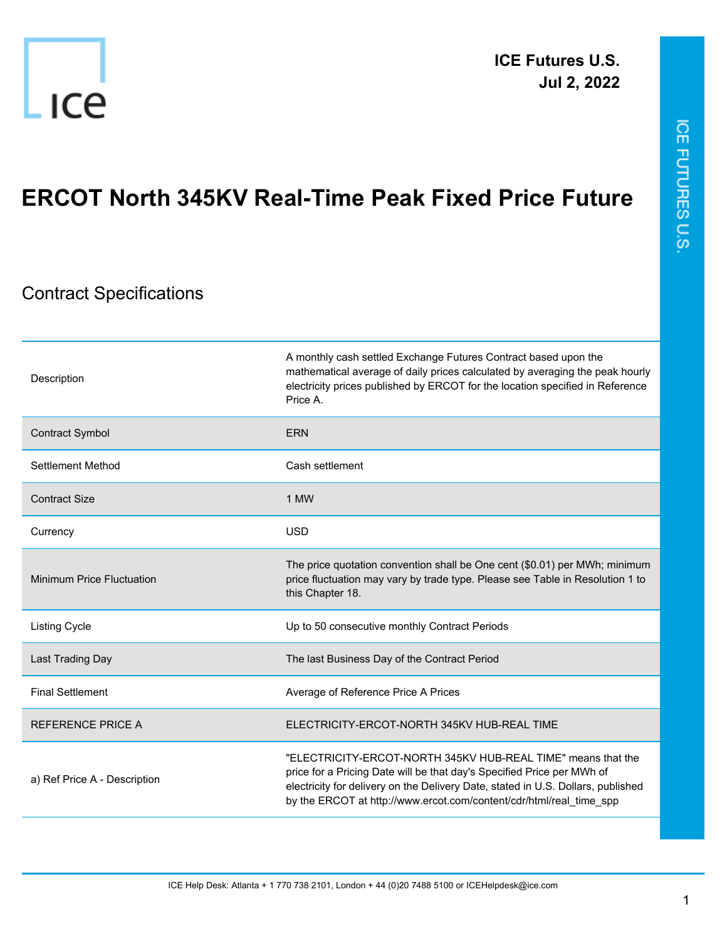

## **ERCOT North 345KV Real-Time Peak Fixed Price Future**

## Contract Specifications

| Description                      | A monthly cash settled Exchange Futures Contract based upon the<br>mathematical average of daily prices calculated by averaging the peak hourly<br>electricity prices published by ERCOT for the location specified in Reference<br>Price A                                                       |
|----------------------------------|---------------------------------------------------------------------------------------------------------------------------------------------------------------------------------------------------------------------------------------------------------------------------------------------------|
| <b>Contract Symbol</b>           | <b>ERN</b>                                                                                                                                                                                                                                                                                        |
| Settlement Method                | Cash settlement                                                                                                                                                                                                                                                                                   |
| <b>Contract Size</b>             | 1 MW                                                                                                                                                                                                                                                                                              |
| Currency                         | <b>USD</b>                                                                                                                                                                                                                                                                                        |
| <b>Minimum Price Fluctuation</b> | The price quotation convention shall be One cent (\$0.01) per MWh; minimum<br>price fluctuation may vary by trade type. Please see Table in Resolution 1 to<br>this Chapter 18.                                                                                                                   |
| <b>Listing Cycle</b>             | Up to 50 consecutive monthly Contract Periods                                                                                                                                                                                                                                                     |
| Last Trading Day                 | The last Business Day of the Contract Period                                                                                                                                                                                                                                                      |
| <b>Final Settlement</b>          | Average of Reference Price A Prices                                                                                                                                                                                                                                                               |
| <b>REFERENCE PRICE A</b>         | ELECTRICITY-ERCOT-NORTH 345KV HUB-REAL TIME                                                                                                                                                                                                                                                       |
| a) Ref Price A - Description     | "ELECTRICITY-ERCOT-NORTH 345KV HUB-REAL TIME" means that the<br>price for a Pricing Date will be that day's Specified Price per MWh of<br>electricity for delivery on the Delivery Date, stated in U.S. Dollars, published<br>by the ERCOT at http://www.ercot.com/content/cdr/html/real_time_spp |